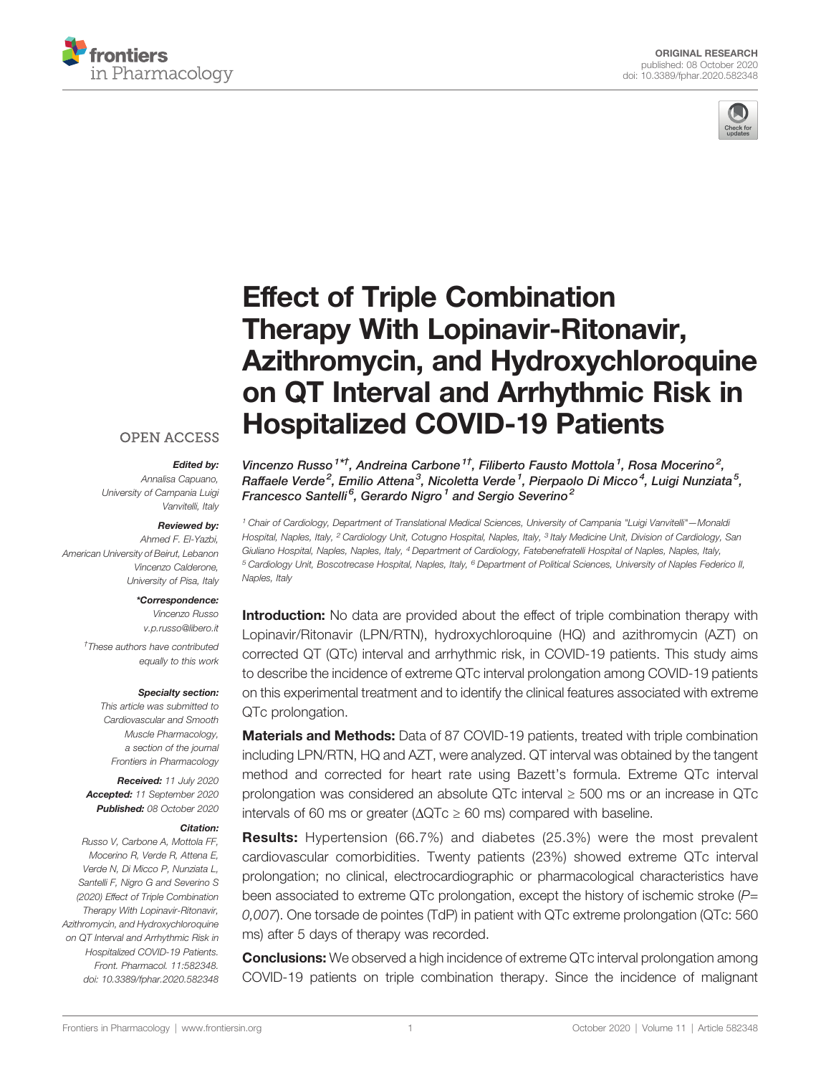



# [Effect of Triple Combination](https://www.frontiersin.org/articles/10.3389/fphar.2020.582348/full) [Therapy With Lopinavir-Ritonavir,](https://www.frontiersin.org/articles/10.3389/fphar.2020.582348/full) [Azithromycin, and Hydroxychloroquine](https://www.frontiersin.org/articles/10.3389/fphar.2020.582348/full) [on QT Interval and Arrhythmic Risk in](https://www.frontiersin.org/articles/10.3389/fphar.2020.582348/full) [Hospitalized COVID-19 Patients](https://www.frontiersin.org/articles/10.3389/fphar.2020.582348/full)

## **OPEN ACCESS**

#### Edited by:

Annalisa Capuano, University of Campania Luigi Vanvitelli, Italy

#### Reviewed by:

Ahmed F. El-Yazbi, American University of Beirut, Lebanon Vincenzo Calderone, University of Pisa, Italy

#### \*Correspondence:

Vincenzo Russo [v.p.russo@libero.it](mailto:v.p.russo@libero.it)

† These authors have contributed equally to this work

#### Specialty section:

This article was submitted to Cardiovascular and Smooth Muscle Pharmacology, a section of the journal Frontiers in Pharmacology

Received: 11 July 2020 Accepted: 11 September 2020 Published: 08 October 2020

#### Citation:

Russo V, Carbone A, Mottola FF, Mocerino R, Verde R, Attena E, Verde N, Di Micco P, Nunziata L, Santelli F, Nigro G and Severino S (2020) Effect of Triple Combination Therapy With Lopinavir-Ritonavir, Azithromycin, and Hydroxychloroquine on QT Interval and Arrhythmic Risk in Hospitalized COVID-19 Patients. Front. Pharmacol. 11:582348. [doi: 10.3389/fphar.2020.582348](https://doi.org/10.3389/fphar.2020.582348) Vincenzo Russo $^{1*\dagger}$ , Andreina Carbone $^{1\dagger}$ , Filiberto Fausto Mottola $^1$ , Rosa Mocerino $^2$ , Raffaele Verde<sup>2</sup>, Emilio Attena<sup>3</sup>, Nicoletta Verde<sup>1</sup>, Pierpaolo Di Micco<sup>4</sup>, Luigi Nunziata<sup>5</sup>, Francesco Santelli<sup>6</sup>, Gerardo Nigro<sup>1</sup> and Sergio Severino<sup>2</sup>

<sup>1</sup> Chair of Cardiology, Department of Translational Medical Sciences, University of Campania "Luigi Vanvitelli"—Monaldi Hospital, Naples, Italy, <sup>2</sup> Cardiology Unit, Cotugno Hospital, Naples, Italy, <sup>3</sup> Italy Medicine Unit, Division of Cardiology, San Giuliano Hospital, Naples, Naples, Italy, <sup>4</sup> Department of Cardiology, Fatebenefratelli Hospital of Naples, Naples, Italy, <sup>5</sup> Cardiology Unit, Boscotrecase Hospital, Naples, Italy, <sup>6</sup> Department of Political Sciences, University of Naples Federico II, Naples, Italy

**Introduction:** No data are provided about the effect of triple combination therapy with Lopinavir/Ritonavir (LPN/RTN), hydroxychloroquine (HQ) and azithromycin (AZT) on corrected QT (QTc) interval and arrhythmic risk, in COVID-19 patients. This study aims to describe the incidence of extreme QTc interval prolongation among COVID-19 patients on this experimental treatment and to identify the clinical features associated with extreme QTc prolongation.

Materials and Methods: Data of 87 COVID-19 patients, treated with triple combination including LPN/RTN, HQ and AZT, were analyzed. QT interval was obtained by the tangent method and corrected for heart rate using Bazett's formula. Extreme QTc interval prolongation was considered an absolute QTc interval ≥ 500 ms or an increase in QTc intervals of 60 ms or greater ( $\Delta$ QTc  $\geq$  60 ms) compared with baseline.

Results: Hypertension (66.7%) and diabetes (25.3%) were the most prevalent cardiovascular comorbidities. Twenty patients (23%) showed extreme QTc interval prolongation; no clinical, electrocardiographic or pharmacological characteristics have been associated to extreme QTc prolongation, except the history of ischemic stroke  $(P=$ 0,007). One torsade de pointes (TdP) in patient with QTc extreme prolongation (QTc: 560 ms) after 5 days of therapy was recorded.

**Conclusions:** We observed a high incidence of extreme QTc interval prolongation among COVID-19 patients on triple combination therapy. Since the incidence of malignant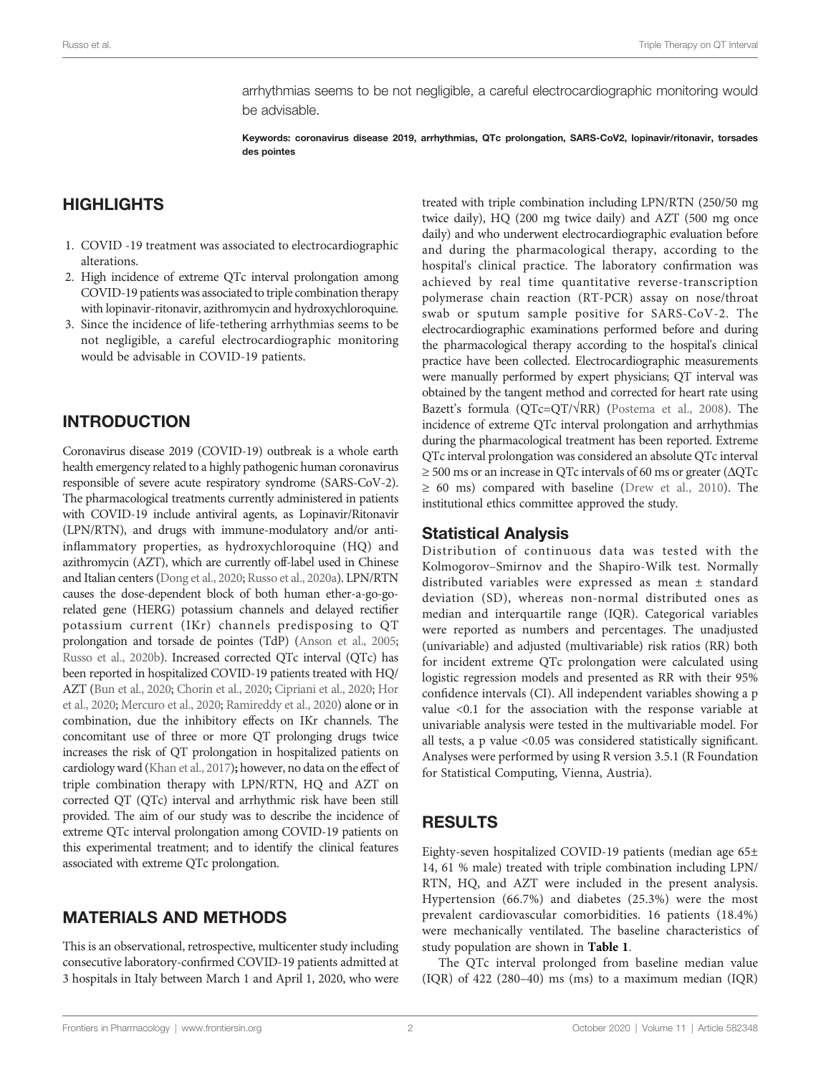arrhythmias seems to be not negligible, a careful electrocardiographic monitoring would be advisable.

Keywords: coronavirus disease 2019, arrhythmias, QTc prolongation, SARS-CoV2, lopinavir/ritonavir, torsades des pointes

## **HIGHLIGHTS**

- 1. COVID -19 treatment was associated to electrocardiographic alterations.
- 2. High incidence of extreme QTc interval prolongation among COVID-19 patients was associated to triple combination therapy with lopinavir-ritonavir, azithromycin and hydroxychloroquine.
- 3. Since the incidence of life-tethering arrhythmias seems to be not negligible, a careful electrocardiographic monitoring would be advisable in COVID-19 patients.

## INTRODUCTION

Coronavirus disease 2019 (COVID-19) outbreak is a whole earth health emergency related to a highly pathogenic human coronavirus responsible of severe acute respiratory syndrome (SARS-CoV-2). The pharmacological treatments currently administered in patients with COVID‐19 include antiviral agents, as Lopinavir/Ritonavir (LPN/RTN), and drugs with immune-modulatory and/or antiinflammatory properties, as hydroxychloroquine (HQ) and azithromycin (AZT), which are currently off-label used in Chinese and Italian centers [\(Dong et al., 2020;](#page-5-0) [Russo et al., 2020a](#page-5-0)). LPN/RTN causes the dose-dependent block of both human ether-a-go-gorelated gene (HERG) potassium channels and delayed rectifier potassium current (IKr) channels predisposing to QT prolongation and torsade de pointes (TdP) ([Anson et al., 2005](#page-4-0); [Russo et al., 2020b](#page-5-0)). Increased corrected QTc interval (QTc) has been reported in hospitalized COVID-19 patients treated with HQ/ AZT [\(Bun et al., 2020](#page-4-0); [Chorin et al., 2020](#page-4-0); [Cipriani et al., 2020;](#page-5-0) [Hor](#page-5-0) [et al., 2020;](#page-5-0) [Mercuro et al., 2020;](#page-5-0) [Ramireddy et al., 2020\)](#page-5-0) alone or in combination, due the inhibitory effects on IKr channels. The concomitant use of three or more QT prolonging drugs twice increases the risk of QT prolongation in hospitalized patients on cardiology ward [\(Khan et al., 2017](#page-5-0)); however, no data on the effect of triple combination therapy with LPN/RTN, HQ and AZT on corrected QT (QTc) interval and arrhythmic risk have been still provided. The aim of our study was to describe the incidence of extreme QTc interval prolongation among COVID-19 patients on this experimental treatment; and to identify the clinical features associated with extreme QTc prolongation.

## MATERIALS AND METHODS

This is an observational, retrospective, multicenter study including consecutive laboratory-confirmed COVID-19 patients admitted at 3 hospitals in Italy between March 1 and April 1, 2020, who were treated with triple combination including LPN/RTN (250/50 mg twice daily), HQ (200 mg twice daily) and AZT (500 mg once daily) and who underwent electrocardiographic evaluation before and during the pharmacological therapy, according to the hospital's clinical practice. The laboratory confirmation was achieved by real time quantitative reverse-transcription polymerase chain reaction (RT-PCR) assay on nose/throat swab or sputum sample positive for SARS-CoV-2. The electrocardiographic examinations performed before and during the pharmacological therapy according to the hospital's clinical practice have been collected. Electrocardiographic measurements were manually performed by expert physicians; QT interval was obtained by the tangent method and corrected for heart rate using Bazett's formula (QTc=QT/√RR) [\(Postema et al., 2008](#page-5-0)). The incidence of extreme QTc interval prolongation and arrhythmias during the pharmacological treatment has been reported. Extreme QTc interval prolongation was considered an absolute QTc interval  $\geq$  500 ms or an increase in QTc intervals of 60 ms or greater ( $\triangle$ QTc  $\geq 60$  ms) compared with baseline [\(Drew et al., 2010\)](#page-5-0). The institutional ethics committee approved the study.

#### Statistical Analysis

Distribution of continuous data was tested with the Kolmogorov–Smirnov and the Shapiro-Wilk test. Normally distributed variables were expressed as mean ± standard deviation (SD), whereas non-normal distributed ones as median and interquartile range (IQR). Categorical variables were reported as numbers and percentages. The unadjusted (univariable) and adjusted (multivariable) risk ratios (RR) both for incident extreme QTc prolongation were calculated using logistic regression models and presented as RR with their 95% confidence intervals (CI). All independent variables showing a p value <0.1 for the association with the response variable at univariable analysis were tested in the multivariable model. For all tests, a p value <0.05 was considered statistically significant. Analyses were performed by using R version 3.5.1 (R Foundation for Statistical Computing, Vienna, Austria).

## RESULTS

Eighty-seven hospitalized COVID-19 patients (median age 65± 14, 61 % male) treated with triple combination including LPN/ RTN, HQ, and AZT were included in the present analysis. Hypertension (66.7%) and diabetes (25.3%) were the most prevalent cardiovascular comorbidities. 16 patients (18.4%) were mechanically ventilated. The baseline characteristics of study population are shown in [Table 1](#page-2-0).

The QTc interval prolonged from baseline median value (IQR) of 422 (280–40) ms (ms) to a maximum median (IQR)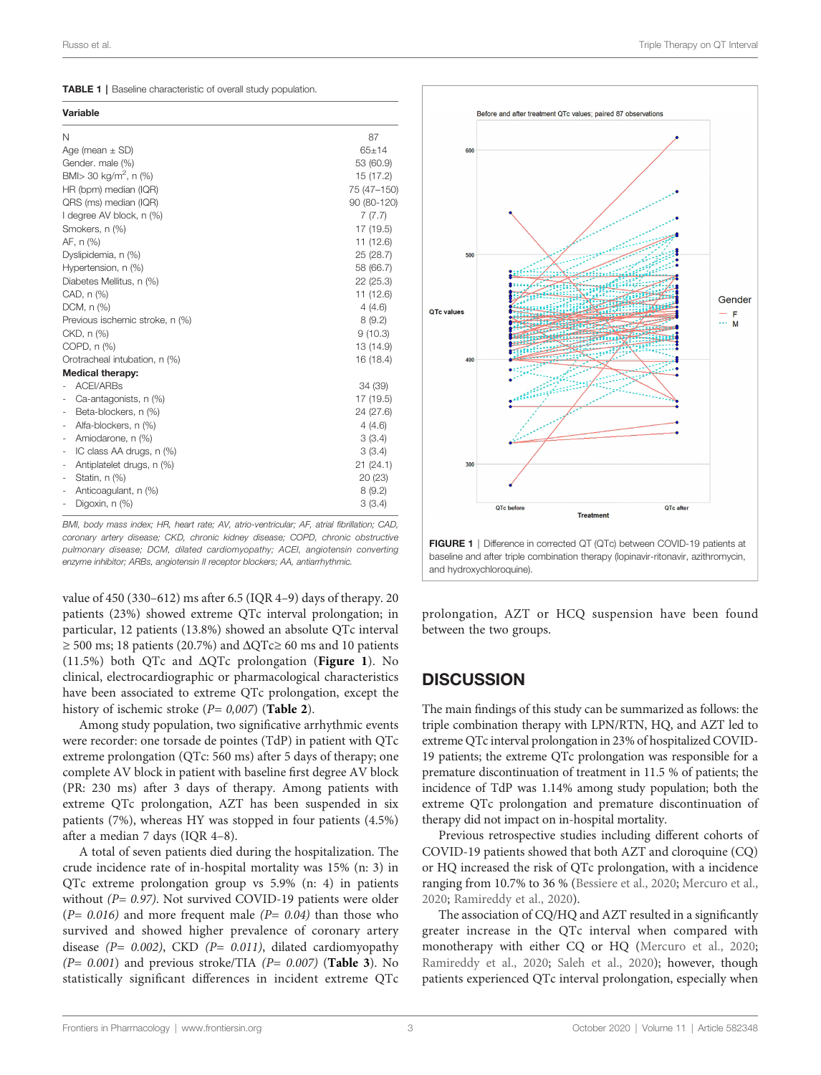<span id="page-2-0"></span>TABLE 1 | Baseline characteristic of overall study population.

| Variable                                             |             |
|------------------------------------------------------|-------------|
| Ν                                                    | 87          |
| Age (mean $\pm$ SD)                                  | $65 + 14$   |
| Gender. male (%)                                     | 53 (60.9)   |
| BMI $>$ 30 kg/m <sup>2</sup> , n (%)                 | 15 (17.2)   |
| HR (bpm) median (IQR)                                | 75 (47-150) |
| QRS (ms) median (IQR)                                | 90 (80-120) |
| I degree AV block, n (%)                             | 7(7.7)      |
| Smokers, n (%)                                       | 17 (19.5)   |
| AF, n (%)                                            | 11 (12.6)   |
| Dyslipidemia, n (%)                                  | 25 (28.7)   |
| Hypertension, n (%)                                  | 58 (66.7)   |
| Diabetes Mellitus, n (%)                             | 22 (25.3)   |
| CAD, n (%)                                           | 11 (12.6)   |
| DCM, n (%)                                           | 4(4.6)      |
| Previous ischemic stroke, n (%)                      | 8(9.2)      |
| CKD, n (%)                                           | 9(10.3)     |
| COPD, n (%)                                          | 13 (14.9)   |
| Orotracheal intubation, n (%)                        | 16 (18.4)   |
| <b>Medical therapy:</b>                              |             |
| <b>ACEI/ARBs</b>                                     | 34 (39)     |
| Ca-antagonists, n (%)                                | 17 (19.5)   |
| Beta-blockers, n (%)<br>٠                            | 24 (27.6)   |
| Alfa-blockers, n (%)                                 | 4(4.6)      |
| Amiodarone, n (%)<br>٠                               | 3(3.4)      |
| IC class AA drugs, n (%)<br>$\overline{\phantom{a}}$ | 3(3.4)      |
| Antiplatelet drugs, n (%)<br>٠                       | 21(24.1)    |
| Statin, n (%)<br>$\overline{\phantom{a}}$            | 20(23)      |
| Anticoagulant, n (%)                                 | 8(9.2)      |
| Digoxin, n (%)<br>-                                  | 3(3.4)      |

BMI, body mass index; HR, heart rate; AV, atrio-ventricular; AF, atrial fibrillation; CAD, coronary artery disease; CKD, chronic kidney disease; COPD, chronic obstructive pulmonary disease; DCM, dilated cardiomyopathy; ACEI, angiotensin converting enzyme inhibitor; ARBs, angiotensin II receptor blockers; AA, antiarrhythmic.

value of 450 (330–612) ms after 6.5 (IQR 4–9) days of therapy. 20 patients (23%) showed extreme QTc interval prolongation; in particular, 12 patients (13.8%) showed an absolute QTc interval  $≥ 500$  ms; 18 patients (20.7%) and  $\Delta$ QTc≥ 60 ms and 10 patients (11.5%) both QTc and  $\Delta$ QTc prolongation (Figure 1). No clinical, electrocardiographic or pharmacological characteristics have been associated to extreme QTc prolongation, except the history of ischemic stroke  $(P= 0.007)$  (**[Table 2](#page-3-0)**).

Among study population, two significative arrhythmic events were recorder: one torsade de pointes (TdP) in patient with QTc extreme prolongation (QTc: 560 ms) after 5 days of therapy; one complete AV block in patient with baseline first degree AV block (PR: 230 ms) after 3 days of therapy. Among patients with extreme QTc prolongation, AZT has been suspended in six patients (7%), whereas HY was stopped in four patients (4.5%) after a median 7 days (IQR 4–8).

A total of seven patients died during the hospitalization. The crude incidence rate of in-hospital mortality was 15% (n: 3) in QTc extreme prolongation group vs 5.9% (n: 4) in patients without ( $P = 0.97$ ). Not survived COVID-19 patients were older  $(P= 0.016)$  and more frequent male  $(P= 0.04)$  than those who survived and showed higher prevalence of coronary artery disease ( $P= 0.002$ ), CKD ( $P= 0.011$ ), dilated cardiomyopathy  $(P= 0.001)$  and previous stroke/TIA  $(P= 0.007)$  ([Table 3](#page-4-0)). No statistically significant differences in incident extreme QTc



prolongation, AZT or HCQ suspension have been found between the two groups.

# **DISCUSSION**

The main findings of this study can be summarized as follows: the triple combination therapy with LPN/RTN, HQ, and AZT led to extreme QTc interval prolongation in 23% of hospitalized COVID-19 patients; the extreme QTc prolongation was responsible for a premature discontinuation of treatment in 11.5 % of patients; the incidence of TdP was 1.14% among study population; both the extreme QTc prolongation and premature discontinuation of therapy did not impact on in-hospital mortality.

Previous retrospective studies including different cohorts of COVID-19 patients showed that both AZT and cloroquine (CQ) or HQ increased the risk of QTc prolongation, with a incidence ranging from 10.7% to 36 % ([Bessiere et al., 2020;](#page-4-0) [Mercuro et al.,](#page-5-0) [2020](#page-5-0); [Ramireddy et al., 2020](#page-5-0)).

The association of CQ/HQ and AZT resulted in a significantly greater increase in the QTc interval when compared with monotherapy with either CQ or HQ [\(Mercuro et al., 2020;](#page-5-0) [Ramireddy et al., 2020;](#page-5-0) [Saleh et al., 2020](#page-5-0)); however, though patients experienced QTc interval prolongation, especially when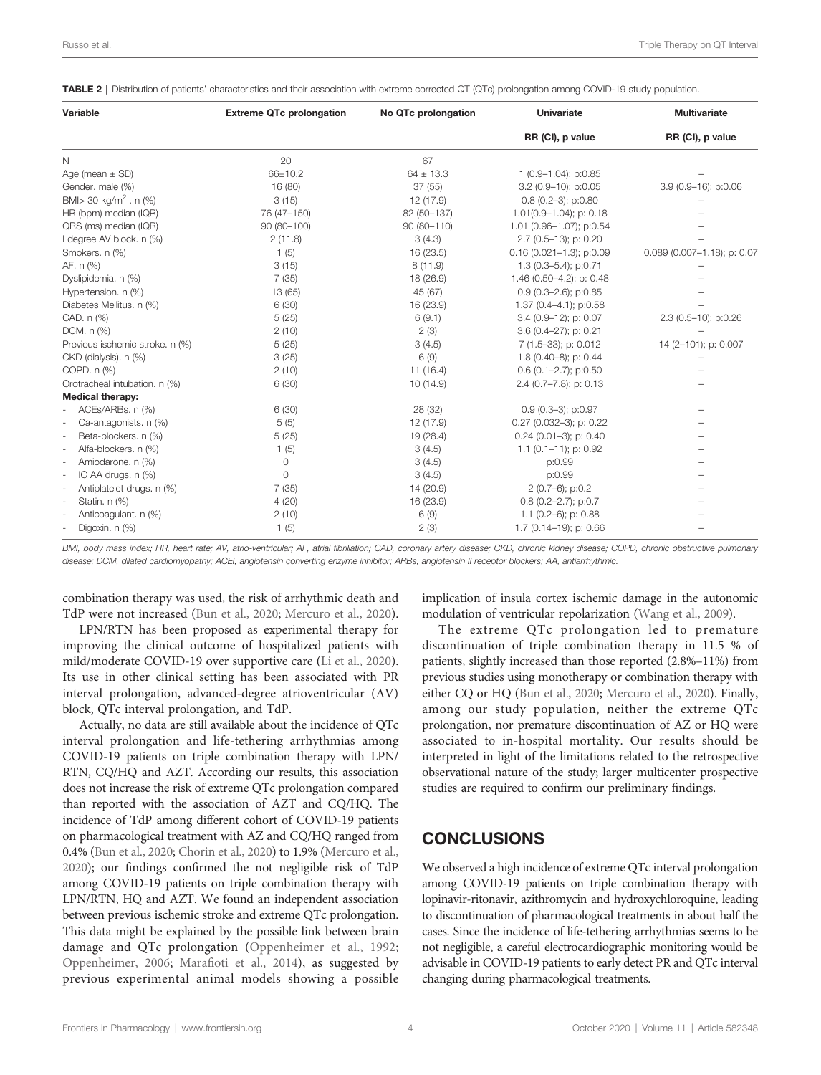<span id="page-3-0"></span>TABLE 2 | Distribution of patients' characteristics and their association with extreme corrected QT (QTc) prolongation among COVID-19 study population.

| Variable                           | <b>Extreme QTc prolongation</b> | No QTc prolongation | <b>Univariate</b><br>RR (CI), p value | <b>Multivariate</b><br>RR (CI), p value |
|------------------------------------|---------------------------------|---------------------|---------------------------------------|-----------------------------------------|
|                                    |                                 |                     |                                       |                                         |
| Age (mean $\pm$ SD)                | 66±10.2                         | $64 \pm 13.3$       | 1 (0.9-1.04); p:0.85                  |                                         |
| Gender. male (%)                   | 16 (80)                         | 37(55)              | 3.2 (0.9-10); p:0.05                  | 3.9 (0.9-16); p:0.06                    |
| BMI > 30 kg/m <sup>2</sup> . n (%) | 3(15)                           | 12 (17.9)           | $0.8(0.2-3); p:0.80$                  |                                         |
| HR (bpm) median (IQR)              | 76 (47-150)                     | 82 (50-137)         | $1.01(0.9 - 1.04)$ ; p: 0.18          |                                         |
| QRS (ms) median (IQR)              | 90 (80-100)                     | 90 (80-110)         | 1.01 (0.96-1.07); p:0.54              |                                         |
| I degree AV block. n (%)           | 2(11.8)                         | 3(4.3)              | 2.7 (0.5-13); p: 0.20                 |                                         |
| Smokers. n (%)                     | 1(5)                            | 16 (23.5)           | $0.16(0.021 - 1.3); p:0.09$           | $0.089$ (0.007-1.18); p: 0.07           |
| AF. n (%)                          | 3(15)                           | 8(11.9)             | $1.3(0.3 - 5.4); p:0.71$              |                                         |
| Dyslipidemia. n (%)                | 7(35)                           | 18 (26.9)           | 1.46 (0.50-4.2); p: 0.48              |                                         |
| Hypertension. n (%)                | 13 (65)                         | 45 (67)             | $0.9(0.3 - 2.6)$ ; p:0.85             |                                         |
| Diabetes Mellitus. n (%)           | 6(30)                           | 16 (23.9)           | 1.37 (0.4-4.1); p:0.58                |                                         |
| CAD. n (%)                         | 5(25)                           | 6(9.1)              | $3.4$ (0.9-12); p: 0.07               | 2.3 (0.5-10); p:0.26                    |
| DCM. n (%)                         | 2(10)                           | 2(3)                | 3.6 (0.4-27); p: 0.21                 |                                         |
| Previous ischemic stroke. n (%)    | 5(25)                           | 3(4.5)              | 7 (1.5-33); p: 0.012                  | 14 (2-101); p: 0.007                    |
| CKD (dialysis). n (%)              | 3(25)                           | 6(9)                | 1.8 (0.40-8); p: 0.44                 |                                         |
| COPD. n (%)                        | 2(10)                           | 11(16.4)            | $0.6$ (0.1-2.7); p:0.50               |                                         |
| Orotracheal intubation. n (%)      | 6(30)                           | 10 (14.9)           | 2.4 (0.7-7.8); p: 0.13                |                                         |
| <b>Medical therapy:</b>            |                                 |                     |                                       |                                         |
| ACEs/ARBs. n (%)                   | 6(30)                           | 28 (32)             | $0.9(0.3-3); p:0.97$                  |                                         |
| Ca-antagonists. n (%)              | 5(5)                            | 12 (17.9)           | 0.27 (0.032-3); p: 0.22               |                                         |
| Beta-blockers. n (%)<br>$\sim$     | 5(25)                           | 19 (28.4)           | $0.24$ (0.01-3); p: 0.40              |                                         |
| Alfa-blockers. n (%)               | 1(5)                            | 3(4.5)              | 1.1 $(0.1-11)$ ; p: 0.92              |                                         |
| Amiodarone. n (%)                  | 0                               | 3(4.5)              | p:0.99                                |                                         |
| IC AA drugs. n (%)<br>$\sim$       | $\Omega$                        | 3(4.5)              | p:0.99                                |                                         |
| Antiplatelet drugs. n (%)          | 7(35)                           | 14 (20.9)           | 2 (0.7-6); p:0.2                      |                                         |
| Statin. n (%)                      | 4(20)                           | 16 (23.9)           | 0.8 (0.2-2.7); p:0.7                  |                                         |
| Anticoaqulant. n (%)               | 2(10)                           | 6(9)                | 1.1 (0.2-6); p: 0.88                  |                                         |
| Digoxin. n (%)                     | 1(5)                            | 2(3)                | 1.7 (0.14-19); p: 0.66                |                                         |

BMI, body mass index; HR, heart rate; AV, atrio-ventricular; AF, atrial fibrillation; CAD, coronary artery disease; CKD, chronic kidney disease; COPD, chronic obstructive pulmonary disease; DCM, dilated cardiomyopathy; ACEI, angiotensin converting enzyme inhibitor; ARBs, angiotensin II receptor blockers; AA, antiarrhythmic.

combination therapy was used, the risk of arrhythmic death and TdP were not increased [\(Bun et al., 2020;](#page-4-0) [Mercuro et al., 2020\)](#page-5-0).

LPN/RTN has been proposed as experimental therapy for improving the clinical outcome of hospitalized patients with mild/moderate COVID-19 over supportive care ([Li et al., 2020\)](#page-5-0). Its use in other clinical setting has been associated with PR interval prolongation, advanced-degree atrioventricular (AV) block, QTc interval prolongation, and TdP.

Actually, no data are still available about the incidence of QTc interval prolongation and life-tethering arrhythmias among COVID-19 patients on triple combination therapy with LPN/ RTN, CQ/HQ and AZT. According our results, this association does not increase the risk of extreme QTc prolongation compared than reported with the association of AZT and CQ/HQ. The incidence of TdP among different cohort of COVID-19 patients on pharmacological treatment with AZ and CQ/HQ ranged from 0.4% ([Bun et al., 2020](#page-4-0); [Chorin et al., 2020](#page-4-0)) to 1.9% ([Mercuro et al.,](#page-5-0) [2020](#page-5-0)); our findings confirmed the not negligible risk of TdP among COVID-19 patients on triple combination therapy with LPN/RTN, HQ and AZT. We found an independent association between previous ischemic stroke and extreme QTc prolongation. This data might be explained by the possible link between brain damage and QTc prolongation [\(Oppenheimer et al., 1992](#page-5-0); [Oppenheimer, 2006](#page-5-0); Marafi[oti et al., 2014](#page-5-0)), as suggested by previous experimental animal models showing a possible implication of insula cortex ischemic damage in the autonomic modulation of ventricular repolarization ([Wang et al., 2009](#page-5-0)).

The extreme QTc prolongation led to premature discontinuation of triple combination therapy in 11.5 % of patients, slightly increased than those reported (2.8%–11%) from previous studies using monotherapy or combination therapy with either CQ or HQ ([Bun et al., 2020;](#page-4-0) [Mercuro et al., 2020\)](#page-5-0). Finally, among our study population, neither the extreme QTc prolongation, nor premature discontinuation of AZ or HQ were associated to in-hospital mortality. Our results should be interpreted in light of the limitations related to the retrospective observational nature of the study; larger multicenter prospective studies are required to confirm our preliminary findings.

## **CONCLUSIONS**

We observed a high incidence of extreme QTc interval prolongation among COVID-19 patients on triple combination therapy with lopinavir-ritonavir, azithromycin and hydroxychloroquine, leading to discontinuation of pharmacological treatments in about half the cases. Since the incidence of life-tethering arrhythmias seems to be not negligible, a careful electrocardiographic monitoring would be advisable in COVID-19 patients to early detect PR and QTc interval changing during pharmacological treatments.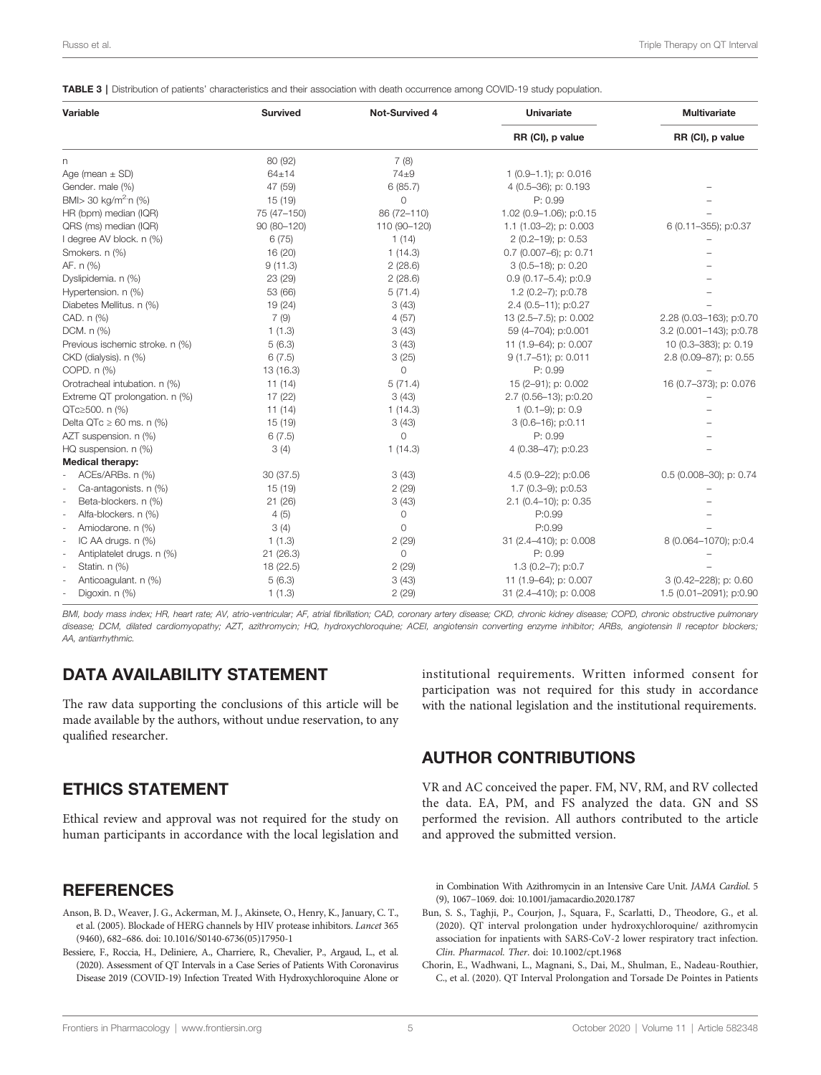<span id="page-4-0"></span>TABLE 3 | Distribution of patients' characteristics and their association with death occurrence among COVID-19 study population.

| <b>Variable</b>                  | <b>Survived</b> | <b>Not-Survived 4</b> | <b>Univariate</b><br>RR (CI), p value | <b>Multivariate</b><br>RR (CI), p value |
|----------------------------------|-----------------|-----------------------|---------------------------------------|-----------------------------------------|
|                                  |                 |                       |                                       |                                         |
| Age (mean $\pm$ SD)              | $64 + 14$       | $74\pm9$              | $1(0.9-1.1);$ p: 0.016                |                                         |
| Gender. male (%)                 | 47 (59)         | 6(85.7)               | 4 (0.5-36); p: 0.193                  |                                         |
| BMI> 30 kg/m <sup>2</sup> ·n (%) | 15 (19)         | $\Omega$              | P: 0.99                               |                                         |
| HR (bpm) median (IQR)            | 75 (47-150)     | 86 (72-110)           | 1.02 (0.9-1.06); p:0.15               |                                         |
| QRS (ms) median (IQR)            | 90 (80-120)     | 110 (90-120)          | 1.1 (1.03-2); p: 0.003                | 6 (0.11-355); p:0.37                    |
| I degree AV block. n (%)         | 6(75)           | 1(14)                 | 2 (0.2-19); p: 0.53                   |                                         |
| Smokers. n (%)                   | 16 (20)         | 1(14.3)               | $0.7$ (0.007-6); p: 0.71              |                                         |
| AF. n (%)                        | 9(11.3)         | 2(28.6)               | 3 (0.5-18); p: 0.20                   |                                         |
| Dyslipidemia. n (%)              | 23 (29)         | 2(28.6)               | $0.9(0.17 - 5.4); p:0.9$              |                                         |
| Hypertension. n (%)              | 53 (66)         | 5(71.4)               | 1.2 (0.2-7); p:0.78                   |                                         |
| Diabetes Mellitus. n (%)         | 19 (24)         | 3(43)                 | 2.4 (0.5-11); p:0.27                  |                                         |
| CAD. n (%)                       | 7(9)            | 4(57)                 | 13 (2.5-7.5); p: 0.002                | 2.28 (0.03-163); p:0.70                 |
| DCM. n (%)                       | 1(1.3)          | 3(43)                 | 59 (4-704); p:0.001                   | 3.2 (0.001-143); p:0.78                 |
| Previous ischemic stroke. n (%)  | 5(6.3)          | 3(43)                 | 11 (1.9–64); p: 0.007                 | 10 (0.3-383); p: 0.19                   |
| CKD (dialysis). n (%)            | 6(7.5)          | 3(25)                 | 9 (1.7-51); p: 0.011                  | 2.8 (0.09-87); p: 0.55                  |
| COPD. n (%)                      | 13 (16.3)       | 0                     | P: 0.99                               |                                         |
| Orotracheal intubation. n (%)    | 11(14)          | 5(71.4)               | 15 (2-91); p: 0.002                   | 16 (0.7-373); p: 0.076                  |
| Extreme QT prolongation. n (%)   | 17 (22)         | 3(43)                 | 2.7 (0.56-13); p:0.20                 |                                         |
| QTc≥500. n (%)                   | 11(14)          | 1(14.3)               | $1(0.1-9)$ ; p: 0.9                   |                                         |
| Delta QTc $\geq 60$ ms. n (%)    | 15 (19)         | 3(43)                 | 3 (0.6-16); p:0.11                    |                                         |
| AZT suspension. n (%)            | 6(7.5)          | 0                     | P: 0.99                               |                                         |
| HQ suspension. n (%)             | 3(4)            | 1(14.3)               | 4 (0.38-47); p:0.23                   |                                         |
| <b>Medical therapy:</b>          |                 |                       |                                       |                                         |
| ACEs/ARBs. n (%)                 | 30(37.5)        | 3(43)                 | 4.5 (0.9-22); p:0.06                  | 0.5 (0.008-30); p: 0.74                 |
| Ca-antagonists. n (%)            | 15 (19)         | 2(29)                 | 1.7 (0.3-9); p:0.53                   |                                         |
| Beta-blockers. n (%)             | 21(26)          | 3(43)                 | 2.1 (0.4-10); p: 0.35                 |                                         |
| Alfa-blockers. n (%)             | 4(5)            | 0                     | P:0.99                                |                                         |
| Amiodarone. n (%)<br>à.          | 3(4)            | 0                     | P:0.99                                |                                         |
| IC AA drugs. n (%)               | 1(1.3)          | 2(29)                 | 31 (2.4-410); p: 0.008                | 8 (0.064-1070); p:0.4                   |
| Antiplatelet drugs. n (%)<br>à.  | 21(26.3)        | 0                     | P: 0.99                               |                                         |
| Statin. n (%)                    | 18 (22.5)       | 2(29)                 | $1.3$ (0.2-7); p:0.7                  |                                         |
| Anticoagulant. n (%)             | 5(6.3)          | 3(43)                 | 11 (1.9-64); p: 0.007                 | 3 (0.42-228); p: 0.60                   |
| Digoxin. n (%)                   | 1(1.3)          | 2(29)                 | 31 (2.4-410); p: 0.008                | 1.5 (0.01-2091); p:0.90                 |

BMI, body mass index; HR, heart rate; AV, atrio-ventricular; AF, atrial fibrillation; CAD, coronary artery disease; CKD, chronic kidney disease; COPD, chronic obstructive pulmonary disease; DCM, dilated cardiomyopathy; AZT, azithromycin; HQ, hydroxychloroquine; ACEI, angiotensin converting enzyme inhibitor; ARBs, angiotensin II receptor blockers; AA, antiarrhythmic.

# DATA AVAILABILITY STATEMENT

The raw data supporting the conclusions of this article will be made available by the authors, without undue reservation, to any qualified researcher.

# ETHICS STATEMENT

Ethical review and approval was not required for the study on human participants in accordance with the local legislation and

## **REFERENCES**

- Anson, B. D., Weaver, J. G., Ackerman, M. J., Akinsete, O., Henry, K., January, C. T., et al. (2005). Blockade of HERG channels by HIV protease inhibitors. Lancet 365 (9460), 682–686. doi: [10.1016/S0140-6736\(05\)17950-1](https://doi.org/10.1016/S0140-6736(05)17950-1)
- Bessiere, F., Roccia, H., Deliniere, A., Charriere, R., Chevalier, P., Argaud, L., et al. (2020). Assessment of QT Intervals in a Case Series of Patients With Coronavirus Disease 2019 (COVID-19) Infection Treated With Hydroxychloroquine Alone or

institutional requirements. Written informed consent for participation was not required for this study in accordance with the national legislation and the institutional requirements.

# AUTHOR CONTRIBUTIONS

VR and AC conceived the paper. FM, NV, RM, and RV collected the data. EA, PM, and FS analyzed the data. GN and SS performed the revision. All authors contributed to the article and approved the submitted version.

in Combination With Azithromycin in an Intensive Care Unit. JAMA Cardiol. 5 (9), 1067–1069. doi: [10.1001/jamacardio.2020.1787](https://doi.org/10.1001/jamacardio.2020.1787)

- Bun, S. S., Taghji, P., Courjon, J., Squara, F., Scarlatti, D., Theodore, G., et al. (2020). QT interval prolongation under hydroxychloroquine/ azithromycin association for inpatients with SARS-CoV-2 lower respiratory tract infection. Clin. Pharmacol. Ther. doi: [10.1002/cpt.1968](https://doi.org/10.1002/cpt.1968)
- Chorin, E., Wadhwani, L., Magnani, S., Dai, M., Shulman, E., Nadeau-Routhier, C., et al. (2020). QT Interval Prolongation and Torsade De Pointes in Patients